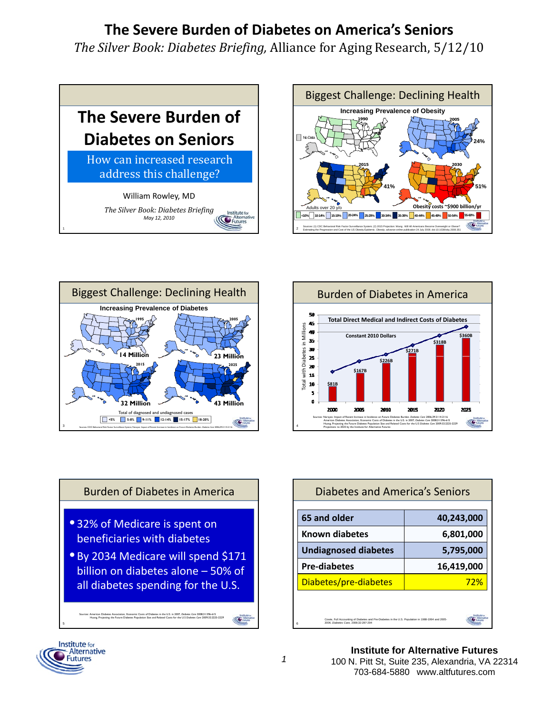*The Silver Book: Diabetes Briefing,* Alliance for Aging Research, 5/12/10









Diabetes and America's Seniors

**65 and older 40,243,000 Known diabetes** 6,801,000

# Burden of Diabetes in America **• 32% of Medicare is spent on**

etes in Millions <sup>•</sup> By 2034 Medicare will spend \$171 **beneficiaries with diabetes** Total with Diabe all diabetes spending for the U.S. By 2034 Medicare will spend \$171<br>billion on diabetes alone – 50% of

Sources: American Diabetes Association, Economic Costs of Diabetes in the U.S. in 2007, *Diabetes Care* 2008;31:596-615 Huang, Projecting the Future Diabetes Population Size and Related Costs for the U.S *Diabetes Care* 2009;32:2225-2229

**Undiagnosed diabetes 5,795,000 g , , Pre‐diabetes 16,419,000** Diabetes/pre-diabetes 22% (City Cowie, Full Accounting of Diabetes and Pre-Diabetes in the U.S. Population in 1988-1994 and 2005- 2006. *Diabetes Care*, 2008;32:287-294



5

**COM** 

6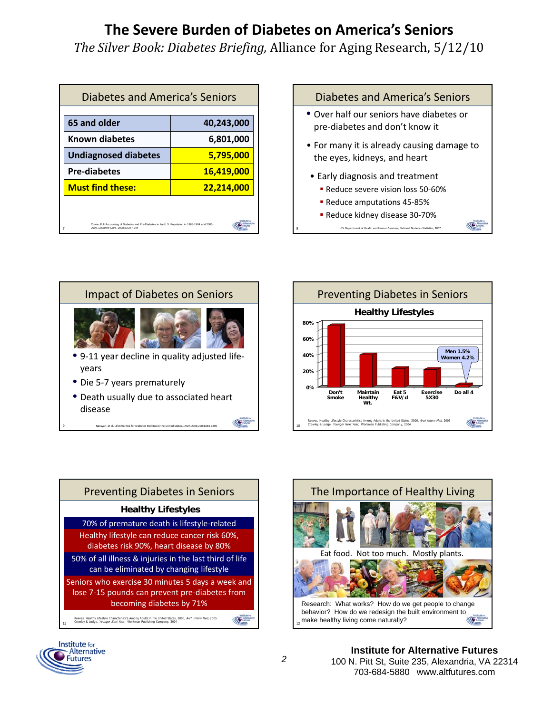*The Silver Book: Diabetes Briefing,* Alliance for Aging Research, 5/12/10

8

| Diabetes and America's Seniors                                                                                                            |                   |
|-------------------------------------------------------------------------------------------------------------------------------------------|-------------------|
| 65 and older                                                                                                                              | 40,243,000        |
| <b>Known diabetes</b>                                                                                                                     | 6,801,000         |
| <b>Undiagnosed diabetes</b>                                                                                                               | 5,795,000         |
| <b>Pre-diabetes</b>                                                                                                                       | <u>16,419,000</u> |
| <b>Must find these:</b>                                                                                                                   | 22,214,000        |
|                                                                                                                                           |                   |
| Cowie, Full Accounting of Diabetes and Pre-Diabetes in the U.S. Population in 1988-1994 and 2005-<br>2006. Diabetes Care. 2008:32:287-294 |                   |

#### Diabetes and America's Seniors • Over half our seniors have diabetes or pre‐diabetes and don't know it • For many it is already causing damage to the eyes, kidneys, and heart • Early diagnosis and treatment ■ Reduce severe vision loss 50-60% ■ Reduce amputations 45-85%

■ Reduce kidney disease 30-70%

U.S. Department of Health and Human Services, National Diabetes Statistics, 2007

**COMME** 











**Institute for Alternative Futures**  100 N. Pitt St, Suite 235, Alexandria, VA 22314 703-684-5880 www.altfutures.com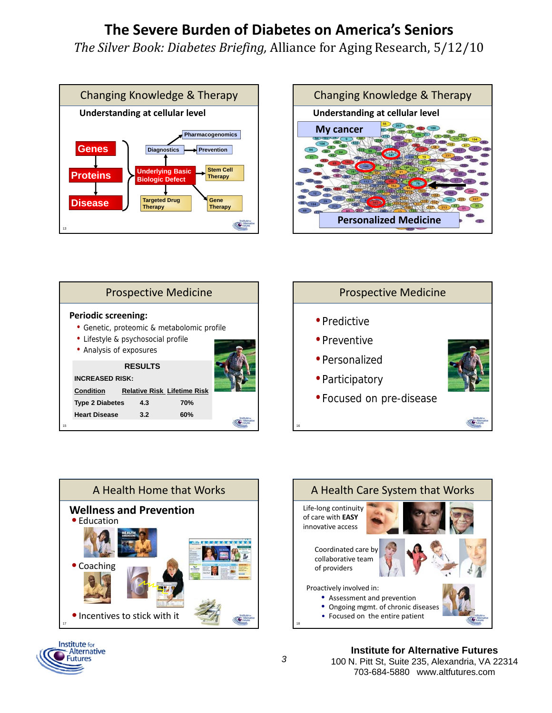*The Silver Book: Diabetes Briefing,* Alliance for Aging Research, 5/12/10













**Institute for Alternative Futures**  100 N. Pitt St, Suite 235, Alexandria, VA 22314 703-684-5880 www.altfutures.com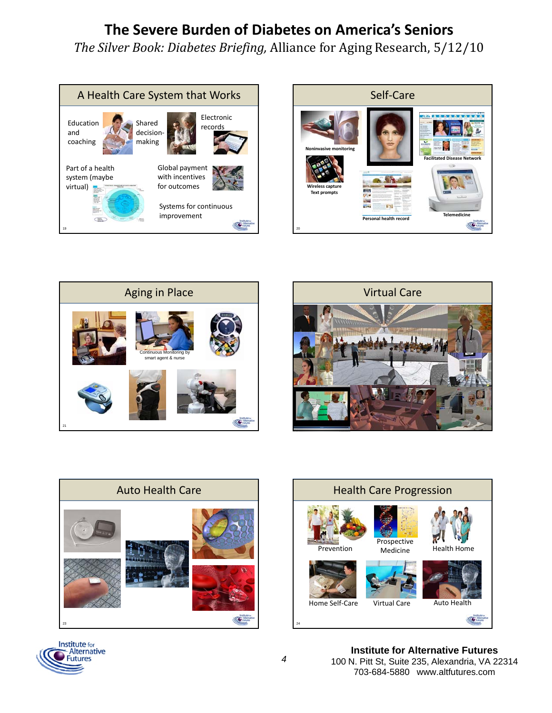*The Silver Book: Diabetes Briefing,* Alliance for Aging Research, 5/12/10















**Institute for Alternative Futures**  100 N. Pitt St, Suite 235, Alexandria, VA 22314 703-684-5880 www.altfutures.com